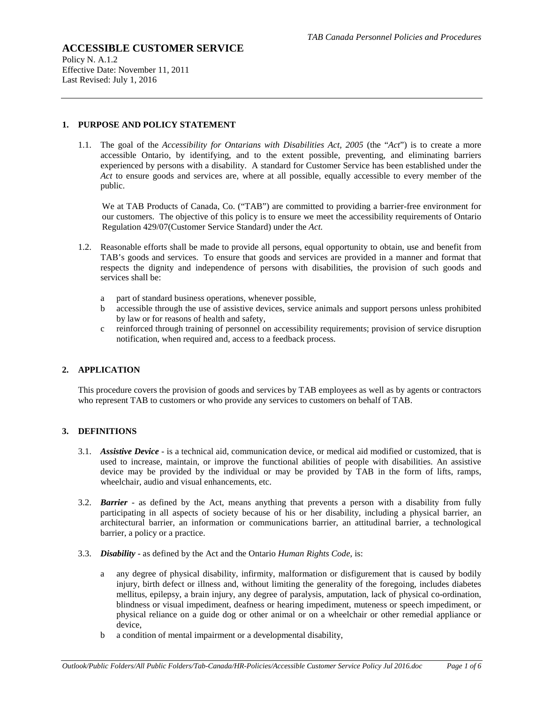Policy N. A.1.2 Effective Date: November 11, 2011 Last Revised: July 1, 2016

#### **1. PURPOSE AND POLICY STATEMENT**

1.1. The goal of the *Accessibility for Ontarians with Disabilities Act, 2005* (the "*Act*") is to create a more accessible Ontario, by identifying, and to the extent possible, preventing, and eliminating barriers experienced by persons with a disability. A standard for Customer Service has been established under the *Act* to ensure goods and services are, where at all possible, equally accessible to every member of the public.

We at TAB Products of Canada, Co. ("TAB") are committed to providing a barrier-free environment for our customers. The objective of this policy is to ensure we meet the accessibility requirements of Ontario Regulation 429/07(Customer Service Standard) under the *Act.*

- 1.2. Reasonable efforts shall be made to provide all persons, equal opportunity to obtain, use and benefit from TAB's goods and services. To ensure that goods and services are provided in a manner and format that respects the dignity and independence of persons with disabilities, the provision of such goods and services shall be:
	- a part of standard business operations, whenever possible,
	- b accessible through the use of assistive devices, service animals and support persons unless prohibited by law or for reasons of health and safety,
	- c reinforced through training of personnel on accessibility requirements; provision of service disruption notification, when required and, access to a feedback process.

### **2. APPLICATION**

This procedure covers the provision of goods and services by TAB employees as well as by agents or contractors who represent TAB to customers or who provide any services to customers on behalf of TAB.

### **3. DEFINITIONS**

- 3.1. *Assistive Device* is a technical aid, communication device, or medical aid modified or customized, that is used to increase, maintain, or improve the functional abilities of people with disabilities. An assistive device may be provided by the individual or may be provided by TAB in the form of lifts, ramps, wheelchair, audio and visual enhancements, etc.
- 3.2. *Barrier* as defined by the Act, means anything that prevents a person with a disability from fully participating in all aspects of society because of his or her disability, including a physical barrier, an architectural barrier, an information or communications barrier, an attitudinal barrier, a technological barrier, a policy or a practice.
- 3.3. *Disability* as defined by the Act and the Ontario *Human Rights Code*, is:
	- a any degree of physical disability, infirmity, malformation or disfigurement that is caused by bodily injury, birth defect or illness and, without limiting the generality of the foregoing, includes diabetes mellitus, epilepsy, a brain injury, any degree of paralysis, amputation, lack of physical co-ordination, blindness or visual impediment, deafness or hearing impediment, muteness or speech impediment, or physical reliance on a guide dog or other animal or on a wheelchair or other remedial appliance or device,
	- b a condition of mental impairment or a developmental disability,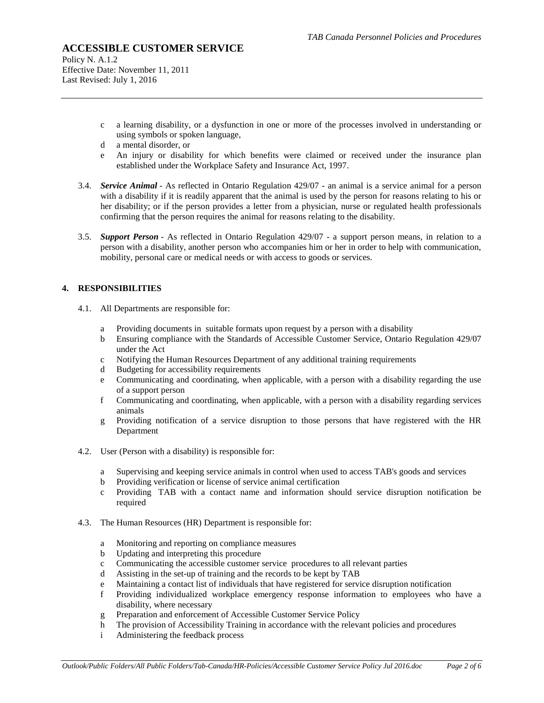Policy N. A.1.2 Effective Date: November 11, 2011 Last Revised: July 1, 2016

- c a learning disability, or a dysfunction in one or more of the processes involved in understanding or using symbols or spoken language,
- d a mental disorder, or
- e An injury or disability for which benefits were claimed or received under the insurance plan established under the Workplace Safety and Insurance Act, 1997.
- 3.4. *Service Animal* As reflected in Ontario Regulation 429/07 an animal is a service animal for a person with a disability if it is readily apparent that the animal is used by the person for reasons relating to his or her disability; or if the person provides a letter from a physician, nurse or regulated health professionals confirming that the person requires the animal for reasons relating to the disability.
- 3.5. *Support Person* As reflected in Ontario Regulation 429/07 a support person means, in relation to a person with a disability, another person who accompanies him or her in order to help with communication, mobility, personal care or medical needs or with access to goods or services.

## **4. RESPONSIBILITIES**

- 4.1. All Departments are responsible for:
	- a Providing documents in suitable formats upon request by a person with a disability
	- b Ensuring compliance with the Standards of Accessible Customer Service, Ontario Regulation 429/07 under the Act
	- c Notifying the Human Resources Department of any additional training requirements
	- d Budgeting for accessibility requirements
	- e Communicating and coordinating, when applicable, with a person with a disability regarding the use of a support person
	- f Communicating and coordinating, when applicable, with a person with a disability regarding services animals
	- g Providing notification of a service disruption to those persons that have registered with the HR Department
- 4.2. User (Person with a disability) is responsible for:
	- a Supervising and keeping service animals in control when used to access TAB's goods and services
	- b Providing verification or license of service animal certification
	- c Providing TAB with a contact name and information should service disruption notification be required
- 4.3. The Human Resources (HR) Department is responsible for:
	- a Monitoring and reporting on compliance measures
	- b Updating and interpreting this procedure
	- c Communicating the accessible customer service procedures to all relevant parties
	- d Assisting in the set-up of training and the records to be kept by TAB
	- e Maintaining a contact list of individuals that have registered for service disruption notification
	- f Providing individualized workplace emergency response information to employees who have a disability, where necessary
	- g Preparation and enforcement of Accessible Customer Service Policy
	- h The provision of Accessibility Training in accordance with the relevant policies and procedures
	- i Administering the feedback process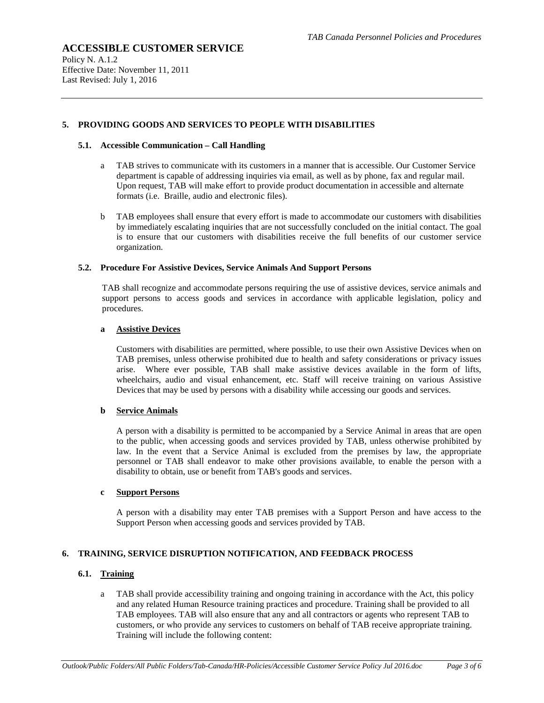Policy N. A.1.2 Effective Date: November 11, 2011 Last Revised: July 1, 2016

#### **5. PROVIDING GOODS AND SERVICES TO PEOPLE WITH DISABILITIES**

#### **5.1. Accessible Communication – Call Handling**

- a TAB strives to communicate with its customers in a manner that is accessible. Our Customer Service department is capable of addressing inquiries via email, as well as by phone, fax and regular mail. Upon request, TAB will make effort to provide product documentation in accessible and alternate formats (i.e. Braille, audio and electronic files).
- b TAB employees shall ensure that every effort is made to accommodate our customers with disabilities by immediately escalating inquiries that are not successfully concluded on the initial contact. The goal is to ensure that our customers with disabilities receive the full benefits of our customer service organization.

#### **5.2. Procedure For Assistive Devices, Service Animals And Support Persons**

TAB shall recognize and accommodate persons requiring the use of assistive devices, service animals and support persons to access goods and services in accordance with applicable legislation, policy and procedures.

#### **a Assistive Devices**

Customers with disabilities are permitted, where possible, to use their own Assistive Devices when on TAB premises, unless otherwise prohibited due to health and safety considerations or privacy issues arise. Where ever possible, TAB shall make assistive devices available in the form of lifts, wheelchairs, audio and visual enhancement, etc. Staff will receive training on various Assistive Devices that may be used by persons with a disability while accessing our goods and services.

#### **b Service Animals**

A person with a disability is permitted to be accompanied by a Service Animal in areas that are open to the public, when accessing goods and services provided by TAB, unless otherwise prohibited by law. In the event that a Service Animal is excluded from the premises by law, the appropriate personnel or TAB shall endeavor to make other provisions available, to enable the person with a disability to obtain, use or benefit from TAB's goods and services.

#### **c Support Persons**

A person with a disability may enter TAB premises with a Support Person and have access to the Support Person when accessing goods and services provided by TAB.

#### **6. TRAINING, SERVICE DISRUPTION NOTIFICATION, AND FEEDBACK PROCESS**

## **6.1. Training**

a TAB shall provide accessibility training and ongoing training in accordance with the Act, this policy and any related Human Resource training practices and procedure. Training shall be provided to all TAB employees. TAB will also ensure that any and all contractors or agents who represent TAB to customers, or who provide any services to customers on behalf of TAB receive appropriate training. Training will include the following content: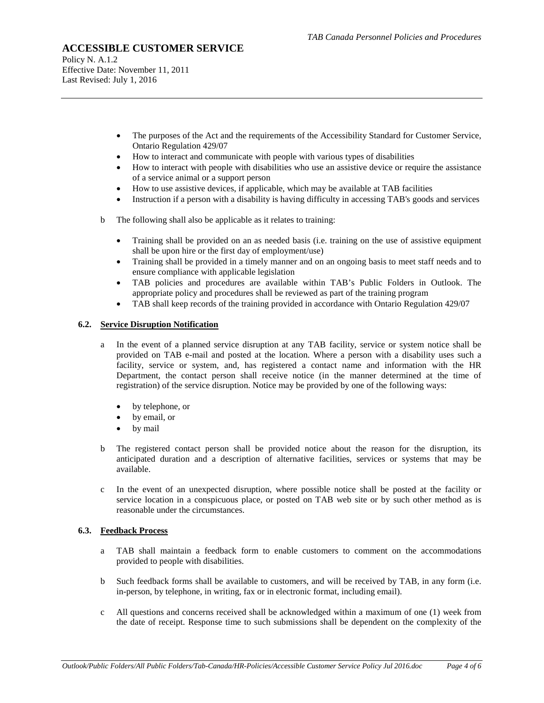Policy N. A.1.2 Effective Date: November 11, 2011 Last Revised: July 1, 2016

- The purposes of the Act and the requirements of the Accessibility Standard for Customer Service, Ontario Regulation 429/07
- How to interact and communicate with people with various types of disabilities
- How to interact with people with disabilities who use an assistive device or require the assistance of a service animal or a support person
- How to use assistive devices, if applicable, which may be available at TAB facilities
- Instruction if a person with a disability is having difficulty in accessing TAB's goods and services
- b The following shall also be applicable as it relates to training:
	- Training shall be provided on an as needed basis (i.e. training on the use of assistive equipment shall be upon hire or the first day of employment/use)
	- Training shall be provided in a timely manner and on an ongoing basis to meet staff needs and to ensure compliance with applicable legislation
	- TAB policies and procedures are available within TAB's Public Folders in Outlook. The appropriate policy and procedures shall be reviewed as part of the training program
	- TAB shall keep records of the training provided in accordance with Ontario Regulation 429/07

#### **6.2. Service Disruption Notification**

- a In the event of a planned service disruption at any TAB facility, service or system notice shall be provided on TAB e-mail and posted at the location. Where a person with a disability uses such a facility, service or system, and, has registered a contact name and information with the HR Department, the contact person shall receive notice (in the manner determined at the time of registration) of the service disruption. Notice may be provided by one of the following ways:
	- by telephone, or
	- by email, or
	- by mail
- b The registered contact person shall be provided notice about the reason for the disruption, its anticipated duration and a description of alternative facilities, services or systems that may be available.
- c In the event of an unexpected disruption, where possible notice shall be posted at the facility or service location in a conspicuous place, or posted on TAB web site or by such other method as is reasonable under the circumstances.

#### **6.3. Feedback Process**

- a TAB shall maintain a feedback form to enable customers to comment on the accommodations provided to people with disabilities.
- b Such feedback forms shall be available to customers, and will be received by TAB, in any form (i.e. in-person, by telephone, in writing, fax or in electronic format, including email).
- c All questions and concerns received shall be acknowledged within a maximum of one (1) week from the date of receipt. Response time to such submissions shall be dependent on the complexity of the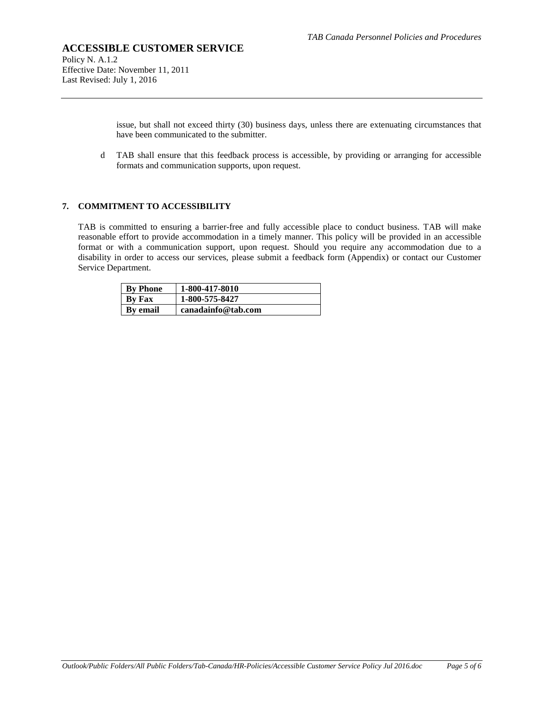Policy N. A.1.2 Effective Date: November 11, 2011 Last Revised: July 1, 2016

> issue, but shall not exceed thirty (30) business days, unless there are extenuating circumstances that have been communicated to the submitter.

d TAB shall ensure that this feedback process is accessible, by providing or arranging for accessible formats and communication supports, upon request.

#### **7. COMMITMENT TO ACCESSIBILITY**

TAB is committed to ensuring a barrier-free and fully accessible place to conduct business. TAB will make reasonable effort to provide accommodation in a timely manner. This policy will be provided in an accessible format or with a communication support, upon request. Should you require any accommodation due to a disability in order to access our services, please submit a feedback form (Appendix) or contact our Customer Service Department.

| <b>By Phone</b> | 1-800-417-8010     |
|-----------------|--------------------|
| By Fax          | 1-800-575-8427     |
| <b>By email</b> | canadainfo@tab.com |